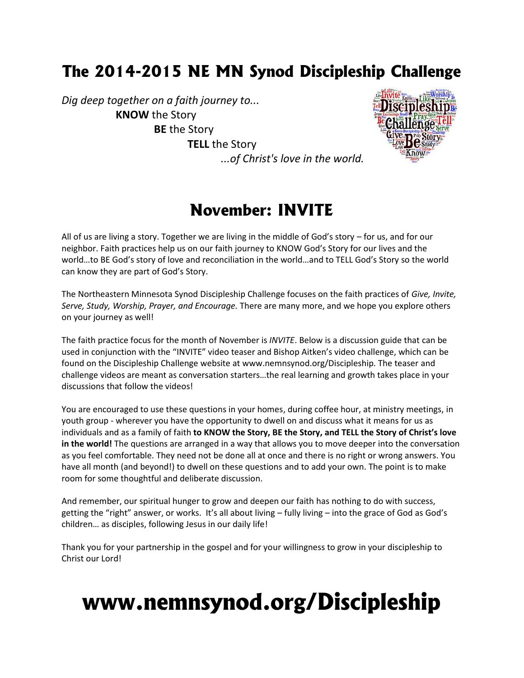# **The 2014-2015 NE MN Synod Discipleship Challenge**

*Dig deep together on a faith journey to...* **KNOW** the Story **BE** the Story **TELL** the Story



## *...of Christ's love in the world.*

## **November: INVITE**

All of us are living a story. Together we are living in the middle of God's story – for us, and for our neighbor. Faith practices help us on our faith journey to KNOW God's Story for our lives and the world…to BE God's story of love and reconciliation in the world…and to TELL God's Story so the world can know they are part of God's Story.

The Northeastern Minnesota Synod Discipleship Challenge focuses on the faith practices of *Give, Invite, Serve, Study, Worship, Prayer, and Encourage.* There are many more, and we hope you explore others on your journey as well!

The faith practice focus for the month of November is *INVITE*. Below is a discussion guide that can be used in conjunction with the "INVITE" video teaser and Bishop Aitken's video challenge, which can be found on the Discipleship Challenge website at www.nemnsynod.org/Discipleship. The teaser and challenge videos are meant as conversation starters…the real learning and growth takes place in your discussions that follow the videos!

You are encouraged to use these questions in your homes, during coffee hour, at ministry meetings, in youth group - wherever you have the opportunity to dwell on and discuss what it means for us as individuals and as a family of faith **to KNOW the Story, BE the Story, and TELL the Story of Christ's love in the world!** The questions are arranged in a way that allows you to move deeper into the conversation as you feel comfortable. They need not be done all at once and there is no right or wrong answers. You have all month (and beyond!) to dwell on these questions and to add your own. The point is to make room for some thoughtful and deliberate discussion.

And remember, our spiritual hunger to grow and deepen our faith has nothing to do with success, getting the "right" answer, or works. It's all about living – fully living – into the grace of God as God's children… as disciples, following Jesus in our daily life!

Thank you for your partnership in the gospel and for your willingness to grow in your discipleship to Christ our Lord!

# **www.nemnsynod.org/Discipleship**